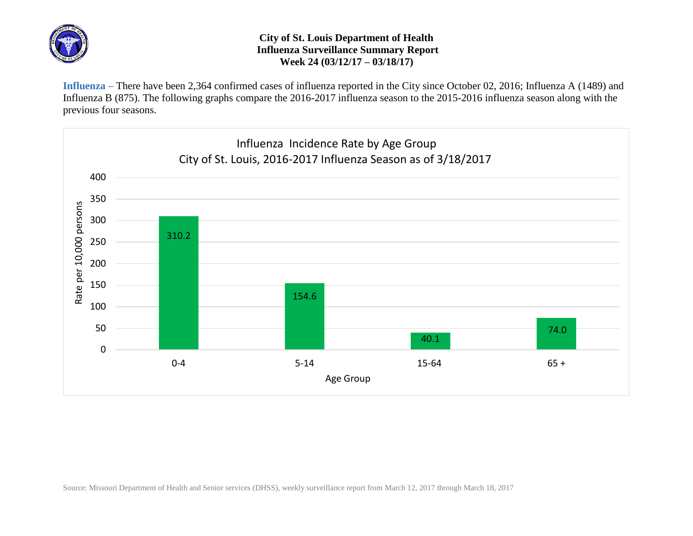

## **City of St. Louis Department of Health Influenza Surveillance Summary Report Week 24 (03/12/17 – 03/18/17)**

**Influenza** – There have been 2,364 confirmed cases of influenza reported in the City since October 02, 2016; Influenza A (1489) and Influenza B (875). The following graphs compare the 2016-2017 influenza season to the 2015-2016 influenza season along with the previous four seasons.